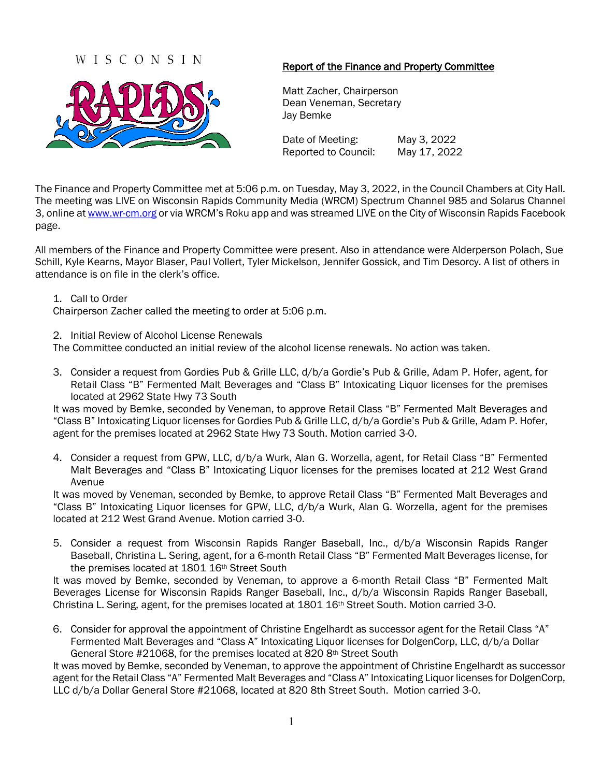## WISCONSIN



### Report of the Finance and Property Committee

Matt Zacher, Chairperson Dean Veneman, Secretary Jay Bemke

Date of Meeting: May 3, 2022 Reported to Council: May 17, 2022

The Finance and Property Committee met at 5:06 p.m. on Tuesday, May 3, 2022, in the Council Chambers at City Hall. The meeting was LIVE on Wisconsin Rapids Community Media (WRCM) Spectrum Channel 985 and Solarus Channel 3, online a[t www.wr-cm.org](http://www.wr-cm.org/) or via WRCM's Roku app and was streamed LIVE on the City of Wisconsin Rapids Facebook page.

All members of the Finance and Property Committee were present. Also in attendance were Alderperson Polach, Sue Schill, Kyle Kearns, Mayor Blaser, Paul Vollert, Tyler Mickelson, Jennifer Gossick, and Tim Desorcy. A list of others in attendance is on file in the clerk's office.

#### 1. Call to Order

Chairperson Zacher called the meeting to order at 5:06 p.m.

#### 2. Initial Review of Alcohol License Renewals

The Committee conducted an initial review of the alcohol license renewals. No action was taken.

3. Consider a request from Gordies Pub & Grille LLC, d/b/a Gordie's Pub & Grille, Adam P. Hofer, agent, for Retail Class "B" Fermented Malt Beverages and "Class B" Intoxicating Liquor licenses for the premises located at 2962 State Hwy 73 South

It was moved by Bemke, seconded by Veneman, to approve Retail Class "B" Fermented Malt Beverages and "Class B" Intoxicating Liquor licenses for Gordies Pub & Grille LLC, d/b/a Gordie's Pub & Grille, Adam P. Hofer, agent for the premises located at 2962 State Hwy 73 South. Motion carried 3-0.

4. Consider a request from GPW, LLC, d/b/a Wurk, Alan G. Worzella, agent, for Retail Class "B" Fermented Malt Beverages and "Class B" Intoxicating Liquor licenses for the premises located at 212 West Grand Avenue

It was moved by Veneman, seconded by Bemke, to approve Retail Class "B" Fermented Malt Beverages and "Class B" Intoxicating Liquor licenses for GPW, LLC, d/b/a Wurk, Alan G. Worzella, agent for the premises located at 212 West Grand Avenue. Motion carried 3-0.

5. Consider a request from Wisconsin Rapids Ranger Baseball, Inc., d/b/a Wisconsin Rapids Ranger Baseball, Christina L. Sering, agent, for a 6-month Retail Class "B" Fermented Malt Beverages license, for the premises located at 1801 16th Street South

It was moved by Bemke, seconded by Veneman, to approve a 6-month Retail Class "B" Fermented Malt Beverages License for Wisconsin Rapids Ranger Baseball, Inc., d/b/a Wisconsin Rapids Ranger Baseball, Christina L. Sering, agent, for the premises located at 1801 16th Street South. Motion carried 3-0.

6. Consider for approval the appointment of Christine Engelhardt as successor agent for the Retail Class "A" Fermented Malt Beverages and "Class A" Intoxicating Liquor licenses for DolgenCorp, LLC, d/b/a Dollar General Store #21068, for the premises located at 820 8<sup>th</sup> Street South

It was moved by Bemke, seconded by Veneman, to approve the appointment of Christine Engelhardt as successor agent for the Retail Class "A" Fermented Malt Beverages and "Class A" Intoxicating Liquor licenses for DolgenCorp, LLC d/b/a Dollar General Store #21068, located at 820 8th Street South. Motion carried 3-0.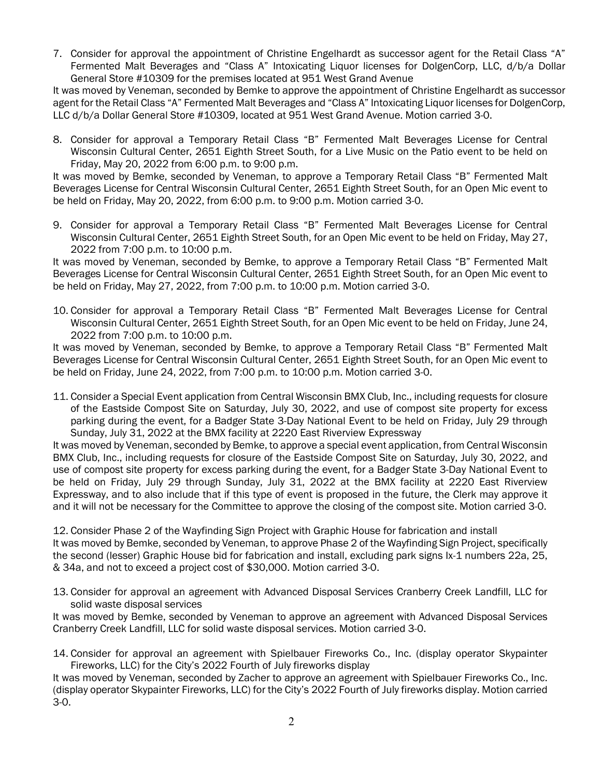7. Consider for approval the appointment of Christine Engelhardt as successor agent for the Retail Class "A" Fermented Malt Beverages and "Class A" Intoxicating Liquor licenses for DolgenCorp, LLC, d/b/a Dollar General Store #10309 for the premises located at 951 West Grand Avenue

It was moved by Veneman, seconded by Bemke to approve the appointment of Christine Engelhardt as successor agent for the Retail Class "A" Fermented Malt Beverages and "Class A" Intoxicating Liquor licenses for DolgenCorp, LLC d/b/a Dollar General Store #10309, located at 951 West Grand Avenue. Motion carried 3-0.

8. Consider for approval a Temporary Retail Class "B" Fermented Malt Beverages License for Central Wisconsin Cultural Center, 2651 Eighth Street South, for a Live Music on the Patio event to be held on Friday, May 20, 2022 from 6:00 p.m. to 9:00 p.m.

It was moved by Bemke, seconded by Veneman, to approve a Temporary Retail Class "B" Fermented Malt Beverages License for Central Wisconsin Cultural Center, 2651 Eighth Street South, for an Open Mic event to be held on Friday, May 20, 2022, from 6:00 p.m. to 9:00 p.m. Motion carried 3-0.

9. Consider for approval a Temporary Retail Class "B" Fermented Malt Beverages License for Central Wisconsin Cultural Center, 2651 Eighth Street South, for an Open Mic event to be held on Friday, May 27, 2022 from 7:00 p.m. to 10:00 p.m.

It was moved by Veneman, seconded by Bemke, to approve a Temporary Retail Class "B" Fermented Malt Beverages License for Central Wisconsin Cultural Center, 2651 Eighth Street South, for an Open Mic event to be held on Friday, May 27, 2022, from 7:00 p.m. to 10:00 p.m. Motion carried 3-0.

10. Consider for approval a Temporary Retail Class "B" Fermented Malt Beverages License for Central Wisconsin Cultural Center, 2651 Eighth Street South, for an Open Mic event to be held on Friday, June 24, 2022 from 7:00 p.m. to 10:00 p.m.

It was moved by Veneman, seconded by Bemke, to approve a Temporary Retail Class "B" Fermented Malt Beverages License for Central Wisconsin Cultural Center, 2651 Eighth Street South, for an Open Mic event to be held on Friday, June 24, 2022, from 7:00 p.m. to 10:00 p.m. Motion carried 3-0.

11. Consider a Special Event application from Central Wisconsin BMX Club, Inc., including requests for closure of the Eastside Compost Site on Saturday, July 30, 2022, and use of compost site property for excess parking during the event, for a Badger State 3-Day National Event to be held on Friday, July 29 through Sunday, July 31, 2022 at the BMX facility at 2220 East Riverview Expressway

It was moved by Veneman, seconded by Bemke, to approve a special event application, from Central Wisconsin BMX Club, Inc., including requests for closure of the Eastside Compost Site on Saturday, July 30, 2022, and use of compost site property for excess parking during the event, for a Badger State 3-Day National Event to be held on Friday, July 29 through Sunday, July 31, 2022 at the BMX facility at 2220 East Riverview Expressway, and to also include that if this type of event is proposed in the future, the Clerk may approve it and it will not be necessary for the Committee to approve the closing of the compost site. Motion carried 3-0.

12. Consider Phase 2 of the Wayfinding Sign Project with Graphic House for fabrication and install It was moved by Bemke, seconded by Veneman, to approve Phase 2 of the Wayfinding Sign Project, specifically the second (lesser) Graphic House bid for fabrication and install, excluding park signs Ix-1 numbers 22a, 25, & 34a, and not to exceed a project cost of \$30,000. Motion carried 3-0.

13. Consider for approval an agreement with Advanced Disposal Services Cranberry Creek Landfill, LLC for solid waste disposal services

It was moved by Bemke, seconded by Veneman to approve an agreement with Advanced Disposal Services Cranberry Creek Landfill, LLC for solid waste disposal services. Motion carried 3-0.

14. Consider for approval an agreement with Spielbauer Fireworks Co., Inc. (display operator Skypainter Fireworks, LLC) for the City's 2022 Fourth of July fireworks display

It was moved by Veneman, seconded by Zacher to approve an agreement with Spielbauer Fireworks Co., Inc. (display operator Skypainter Fireworks, LLC) for the City's 2022 Fourth of July fireworks display. Motion carried 3-0.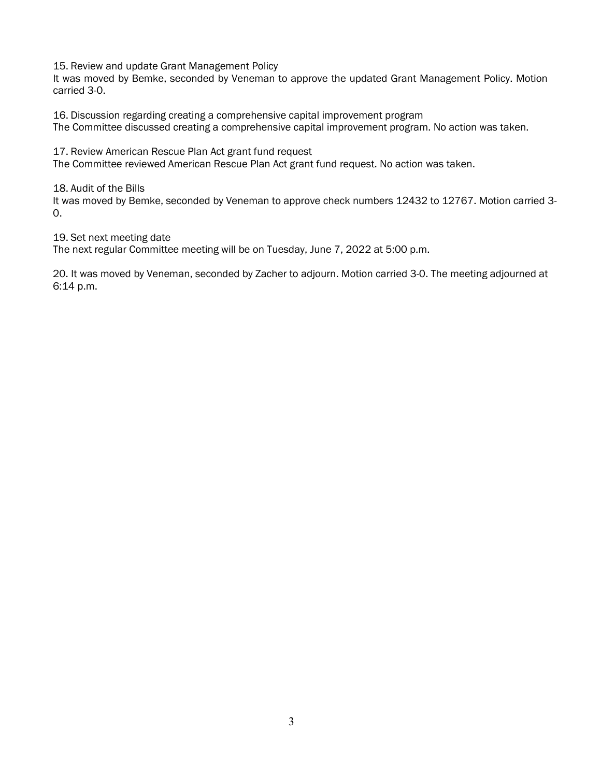15. Review and update Grant Management Policy

It was moved by Bemke, seconded by Veneman to approve the updated Grant Management Policy. Motion carried 3-0.

16. Discussion regarding creating a comprehensive capital improvement program

The Committee discussed creating a comprehensive capital improvement program. No action was taken.

17. Review American Rescue Plan Act grant fund request

The Committee reviewed American Rescue Plan Act grant fund request. No action was taken.

18. Audit of the Bills

It was moved by Bemke, seconded by Veneman to approve check numbers 12432 to 12767. Motion carried 3- 0.

19. Set next meeting date

The next regular Committee meeting will be on Tuesday, June 7, 2022 at 5:00 p.m.

20. It was moved by Veneman, seconded by Zacher to adjourn. Motion carried 3-0. The meeting adjourned at 6:14 p.m.